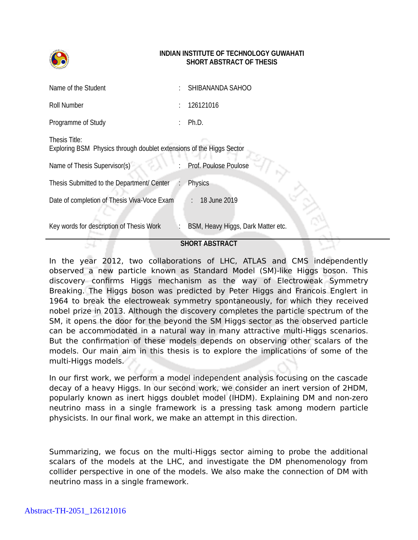

## **INDIAN INSTITUTE OF TECHNOLOGY GUWAHATI SHORT ABSTRACT OF THESIS**

| Name of the Student                                                                   | SHIBANANDA SAHOO                   |
|---------------------------------------------------------------------------------------|------------------------------------|
| Roll Number                                                                           | 126121016                          |
| Programme of Study                                                                    | Ph.D.                              |
| Thesis Title:<br>Exploring BSM Physics through doublet extensions of the Higgs Sector |                                    |
| Name of Thesis Supervisor(s)                                                          | Prof. Poulose Poulose              |
| Thesis Submitted to the Department/ Center                                            | <b>Physics</b>                     |
| Date of completion of Thesis Viva-Voce Exam                                           | $\therefore$ 18 June 2019          |
| Key words for description of Thesis Work                                              | BSM, Heavy Higgs, Dark Matter etc. |

## **SHORT ABSTRACT**

In the year 2012, two collaborations of LHC, ATLAS and CMS independently observed a new particle known as Standard Model (SM)-like Higgs boson. This discovery confirms Higgs mechanism as the way of Electroweak Symmetry Breaking. The Higgs boson was predicted by Peter Higgs and Francois Englert in 1964 to break the electroweak symmetry spontaneously, for which they received nobel prize in 2013. Although the discovery completes the particle spectrum of the SM, it opens the door for the beyond the SM Higgs sector as the observed particle can be accommodated in a natural way in many attractive multi-Higgs scenarios. But the confirmation of these models depends on observing other scalars of the models. Our main aim in this thesis is to explore the implications of some of the multi-Higgs models.

In our first work, we perform a model independent analysis focusing on the cascade decay of a heavy Higgs. In our second work, we consider an inert version of 2HDM, popularly known as inert higgs doublet model (IHDM). Explaining DM and non-zero neutrino mass in a single framework is a pressing task among modern particle physicists. In our final work, we make an attempt in this direction.

Summarizing, we focus on the multi-Higgs sector aiming to probe the additional scalars of the models at the LHC, and investigate the DM phenomenology from collider perspective in one of the models. We also make the connection of DM with neutrino mass in a single framework.